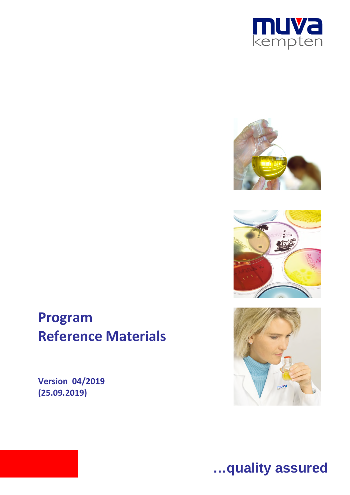





# **Program Reference Materials**

**Version 04/2019 (25.09.2019)** 



**…quality assured**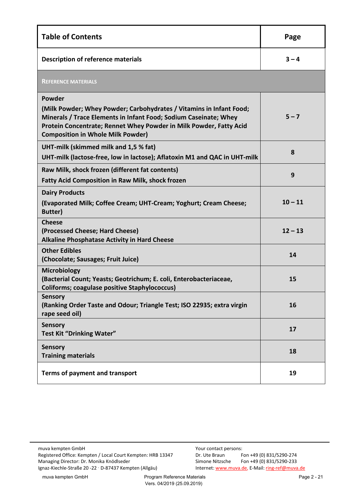| <b>Table of Contents</b>                                                                                                                                                                                                                                            | Page      |
|---------------------------------------------------------------------------------------------------------------------------------------------------------------------------------------------------------------------------------------------------------------------|-----------|
| <b>Description of reference materials</b>                                                                                                                                                                                                                           | $3 - 4$   |
| <b>REFERENCE MATERIALS</b>                                                                                                                                                                                                                                          |           |
| Powder<br>(Milk Powder; Whey Powder; Carbohydrates / Vitamins in Infant Food;<br>Minerals / Trace Elements in Infant Food; Sodium Caseinate; Whey<br>Protein Concentrate; Rennet Whey Powder in Milk Powder, Fatty Acid<br><b>Composition in Whole Milk Powder)</b> | $5 - 7$   |
| UHT-milk (skimmed milk and 1,5 % fat)<br>UHT-milk (lactose-free, low in lactose); Aflatoxin M1 and QAC in UHT-milk                                                                                                                                                  | 8         |
| Raw Milk, shock frozen (different fat contents)<br><b>Fatty Acid Composition in Raw Milk, shock frozen</b>                                                                                                                                                          | 9         |
| <b>Dairy Products</b><br>(Evaporated Milk; Coffee Cream; UHT-Cream; Yoghurt; Cream Cheese;<br><b>Butter)</b>                                                                                                                                                        | $10 - 11$ |
| <b>Cheese</b><br>(Processed Cheese; Hard Cheese)<br><b>Alkaline Phosphatase Activity in Hard Cheese</b>                                                                                                                                                             | $12 - 13$ |
| <b>Other Edibles</b><br>(Chocolate; Sausages; Fruit Juice)                                                                                                                                                                                                          | 14        |
| Microbiology<br>(Bacterial Count; Yeasts; Geotrichum; E. coli, Enterobacteriaceae,<br><b>Coliforms; coagulase positive Staphylococcus)</b>                                                                                                                          | 15        |
| <b>Sensory</b><br>(Ranking Order Taste and Odour; Triangle Test; ISO 22935; extra virgin<br>rape seed oil)                                                                                                                                                          | 16        |
| <b>Sensory</b><br><b>Test Kit "Drinking Water"</b>                                                                                                                                                                                                                  | 17        |
| <b>Sensory</b><br><b>Training materials</b>                                                                                                                                                                                                                         | 18        |
| Terms of payment and transport                                                                                                                                                                                                                                      | 19        |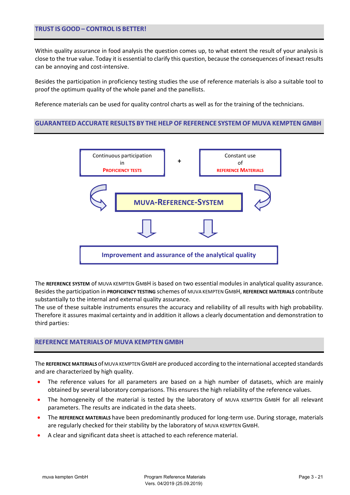### **TRUST IS GOOD – CONTROL IS BETTER!**

Within quality assurance in food analysis the question comes up, to what extent the result of your analysis is close to the true value. Today it is essential to clarify this question, because the consequences of inexact results can be annoying and cost-intensive.

Besides the participation in proficiency testing studies the use of reference materials is also a suitable tool to proof the optimum quality of the whole panel and the panellists.

Reference materials can be used for quality control charts as well as for the training of the technicians.

#### **GUARANTEED ACCURATE RESULTS BY THE HELP OF REFERENCE SYSTEM OF MUVA KEMPTEN GMBH**



The **REFERENCE SYSTEM** of MUVA KEMPTEN GMBH is based on two essential modules in analytical quality assurance. Besides the participation in **PROFICIENCY TESTING** schemes of MUVA KEMPTEN GMBH, **REFERENCE MATERIALS** contribute substantially to the internal and external quality assurance.

The use of these suitable instruments ensures the accuracy and reliability of all results with high probability. Therefore it assures maximal certainty and in addition it allows a clearly documentation and demonstration to third parties:

### **REFERENCE MATERIALS OF MUVA KEMPTEN GMBH**

The **REFERENCE MATERIALS** of MUVA KEMPTEN GMBH are produced according to the international accepted standards and are characterized by high quality.

- The reference values for all parameters are based on a high number of datasets, which are mainly obtained by several laboratory comparisons. This ensures the high reliability of the reference values.
- The homogeneity of the material is tested by the laboratory of MUVA KEMPTEN GMBH for all relevant parameters. The results are indicated in the data sheets.
- The **REFERENCE MATERIALS** have been predominantly produced for long-term use. During storage, materials are regularly checked for their stability by the laboratory of MUVA KEMPTEN GMBH.
- A clear and significant data sheet is attached to each reference material.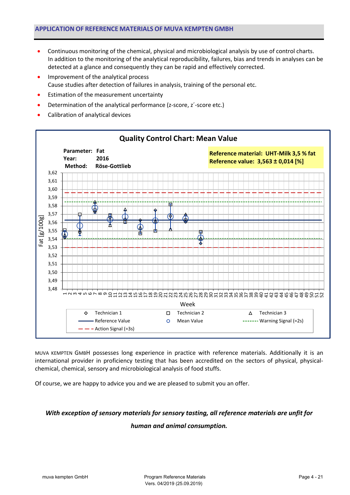- Continuous monitoring of the chemical, physical and microbiological analysis by use of control charts. In addition to the monitoring of the analytical reproducibility, failures, bias and trends in analyses can be detected at a glance and consequently they can be rapid and effectively corrected.
- Improvement of the analytical process Cause studies after detection of failures in analysis, training of the personal etc.
- Estimation of the measurement uncertainty
- Determination of the analytical performance (z-score, z´-score etc.)
- Calibration of analytical devices



MUVA KEMPTEN GMBH possesses long experience in practice with reference materials. Additionally it is an international provider in proficiency testing that has been accredited on the sectors of physical, physicalchemical, chemical, sensory and microbiological analysis of food stuffs.

Of course, we are happy to advice you and we are pleased to submit you an offer.

### *With exception of sensory materials for sensory tasting, all reference materials are unfit for*

### *human and animal consumption.*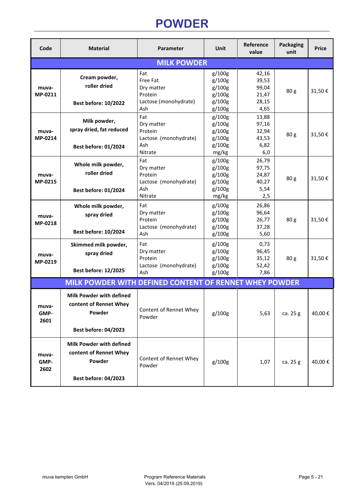## **POWDER**

| Code                  | <b>Material</b>                                                                                    | Parameter                                                                | <b>Unit</b>                                              | Reference<br>value                                | <b>Packaging</b><br>unit | <b>Price</b> |  |  |
|-----------------------|----------------------------------------------------------------------------------------------------|--------------------------------------------------------------------------|----------------------------------------------------------|---------------------------------------------------|--------------------------|--------------|--|--|
| <b>MILK POWDER</b>    |                                                                                                    |                                                                          |                                                          |                                                   |                          |              |  |  |
| muva-<br>MP-0211      | Cream powder,<br>roller dried<br><b>Best before: 10/2022</b>                                       | Fat<br>Free Fat<br>Dry matter<br>Protein<br>Lactose (monohydrate)<br>Ash | g/100g<br>g/100g<br>g/100g<br>g/100g<br>g/100g<br>g/100g | 42,16<br>39,53<br>99,04<br>21,47<br>28,15<br>4,65 | 80 g                     | 31,50€       |  |  |
| muva-<br>MP-0214      | Milk powder,<br>spray dried, fat reduced<br><b>Best before: 01/2024</b>                            | Fat<br>Dry matter<br>Protein<br>Lactose (monohydrate)<br>Ash<br>Nitrate  | g/100g<br>g/100g<br>g/100g<br>g/100g<br>g/100g<br>mg/kg  | 13,88<br>97,16<br>32,94<br>43,53<br>6,82<br>6,0   | 80 g                     | 31,50€       |  |  |
| muva-<br>MP-0215      | Whole milk powder,<br>roller dried<br><b>Best before: 01/2024</b>                                  | Fat<br>Dry matter<br>Protein<br>Lactose (monohydrate)<br>Ash<br>Nitrate  | g/100g<br>g/100g<br>g/100g<br>g/100g<br>g/100g<br>mg/kg  | 26,79<br>97,75<br>24,87<br>40,27<br>5,54<br>2,5   | 80 g                     | 31,50€       |  |  |
| muva-<br>MP-0218      | Whole milk powder,<br>spray dried<br><b>Best before: 10/2024</b>                                   | Fat<br>Dry matter<br>Protein<br>Lactose (monohydrate)<br>Ash             | g/100g<br>g/100g<br>g/100g<br>g/100g<br>g/100g           | 26,86<br>96,64<br>26,77<br>37,28<br>5,60          | 80 g                     | 31,50€       |  |  |
| muva-<br>MP-0219      | Skimmed milk powder,<br>spray dried<br><b>Best before: 12/2025</b>                                 | Fat<br>Dry matter<br>Protein<br>Lactose (monohydrate)<br>Ash             | g/100g<br>g/100g<br>g/100g<br>g/100g<br>g/100g           | 0,73<br>96,45<br>35,12<br>52,42<br>7,86           | 80 g                     | 31,50€       |  |  |
|                       | MILK POWDER WITH DEFINED CONTENT OF RENNET WHEY POWDER                                             |                                                                          |                                                          |                                                   |                          |              |  |  |
| muva-<br>GMP-<br>2601 | <b>Milk Powder with defined</b><br>content of Rennet Whey<br>Powder<br><b>Best before: 04/2023</b> | Content of Rennet Whey<br>Powder                                         | g/100g                                                   | 5,63                                              | ca. 25 g                 | 40,00€       |  |  |
| muva-<br>GMP-<br>2602 | <b>Milk Powder with defined</b><br>content of Rennet Whey<br>Powder<br><b>Best before: 04/2023</b> | Content of Rennet Whey<br>Powder                                         | g/100g                                                   | 1,07                                              | ca. 25 g                 | 40,00€       |  |  |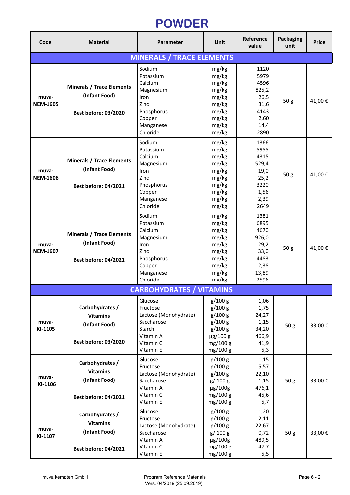# **POWDER**

| Code                     | <b>Material</b>                                                                    | <b>Parameter</b>                                                                                                    | Unit                                                                                         | Reference<br>value                                                             | <b>Packaging</b><br>unit | <b>Price</b> |
|--------------------------|------------------------------------------------------------------------------------|---------------------------------------------------------------------------------------------------------------------|----------------------------------------------------------------------------------------------|--------------------------------------------------------------------------------|--------------------------|--------------|
|                          |                                                                                    | <b>MINERALS / TRACE ELEMENTS</b>                                                                                    |                                                                                              |                                                                                |                          |              |
| muva-<br><b>NEM-1605</b> | <b>Minerals / Trace Elements</b><br>(Infant Food)<br><b>Best before: 03/2020</b>   | Sodium<br>Potassium<br>Calcium<br>Magnesium<br>Iron<br><b>Zinc</b><br>Phosphorus<br>Copper<br>Manganese<br>Chloride | mg/kg<br>mg/kg<br>mg/kg<br>mg/kg<br>mg/kg<br>mg/kg<br>mg/kg<br>mg/kg<br>mg/kg<br>mg/kg       | 1120<br>5979<br>4596<br>825,2<br>26,5<br>31,6<br>4143<br>2,60<br>14,4<br>2890  | 50 g                     | 41,00€       |
| muva-<br><b>NEM-1606</b> | <b>Minerals / Trace Elements</b><br>(Infant Food)<br><b>Best before: 04/2021</b>   | Sodium<br>Potassium<br>Calcium<br>Magnesium<br>Iron<br>Zinc<br>Phosphorus<br>Copper<br>Manganese<br>Chloride        | mg/kg<br>mg/kg<br>mg/kg<br>mg/kg<br>mg/kg<br>mg/kg<br>mg/kg<br>mg/kg<br>mg/kg<br>mg/kg       | 1366<br>5955<br>4315<br>529,4<br>19,0<br>25,2<br>3220<br>1,56<br>2,39<br>2649  | 50 g                     | 41,00€       |
| muva-<br><b>NEM-1607</b> | <b>Minerals / Trace Elements</b><br>(Infant Food)<br><b>Best before: 04/2021</b>   | Sodium<br>Potassium<br>Calcium<br>Magnesium<br>Iron<br>Zinc<br>Phosphorus<br>Copper<br>Manganese<br>Chloride        | mg/kg<br>mg/kg<br>mg/kg<br>mg/kg<br>mg/kg<br>mg/kg<br>mg/kg<br>mg/kg<br>mg/kg<br>mg/kg       | 1381<br>6895<br>4670<br>926,0<br>29,2<br>33,0<br>4483<br>2,38<br>13,89<br>2596 | 50 g                     | 41,00€       |
|                          |                                                                                    | <b>CARBOHYDRATES / VITAMINS</b>                                                                                     |                                                                                              |                                                                                |                          |              |
| muva-<br>KI-1105         | Carbohydrates /<br><b>Vitamins</b><br>(Infant Food)<br><b>Best before: 03/2020</b> | Glucose<br>Fructose<br>Lactose (Monohydrate)<br>Saccharose<br>Starch<br>Vitamin A<br>Vitamin C<br>Vitamin E         | g/100 g<br>g/100 g<br>g/100 g<br>g/100 g<br>g/100 g<br>$\mu$ g/100 g<br>mg/100 g<br>mg/100 g | 1,06<br>1,75<br>24,27<br>1,15<br>34,20<br>466,9<br>41,9<br>5,3                 | 50 g                     | 33,00€       |
| muva-<br>KI-1106         | Carbohydrates /<br><b>Vitamins</b><br>(Infant Food)<br><b>Best before: 04/2021</b> | Glucose<br>Fructose<br>Lactose (Monohydrate)<br>Saccharose<br>Vitamin A<br>Vitamin C<br>Vitamin E                   | g/100 g<br>g/100 g<br>g/100 g<br>g/ 100 g<br>µg/100g<br>mg/100 g<br>mg/100 g                 | 1,15<br>5,57<br>22,10<br>1,15<br>476,1<br>45,6<br>5,7                          | 50 g                     | 33,00€       |
| muva-<br>KI-1107         | Carbohydrates /<br><b>Vitamins</b><br>(Infant Food)<br><b>Best before: 04/2021</b> | Glucose<br>Fructose<br>Lactose (Monohydrate)<br>Saccharose<br>Vitamin A<br>Vitamin C<br>Vitamin E                   | g/100 g<br>g/100 g<br>g/100 g<br>g/ 100 g<br>µg/100g<br>mg/100 g<br>mg/100 g                 | 1,20<br>2,11<br>22,67<br>0,72<br>489,5<br>47,7<br>5,5                          | 50 g                     | 33,00€       |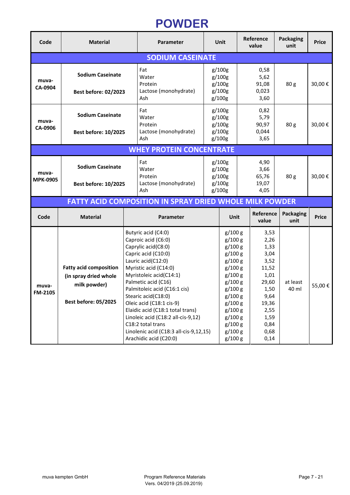# **POWDER**

| Code                            | <b>Material</b>                                                                                       | Parameter                                                                      |                                                                                                                                                                                                                                                                                                                                                                                                                                                 |        | <b>Unit</b>                                                                                                                                                                  |                                | Reference<br>value                                                                                                              | <b>Packaging</b><br>unit | <b>Price</b> |
|---------------------------------|-------------------------------------------------------------------------------------------------------|--------------------------------------------------------------------------------|-------------------------------------------------------------------------------------------------------------------------------------------------------------------------------------------------------------------------------------------------------------------------------------------------------------------------------------------------------------------------------------------------------------------------------------------------|--------|------------------------------------------------------------------------------------------------------------------------------------------------------------------------------|--------------------------------|---------------------------------------------------------------------------------------------------------------------------------|--------------------------|--------------|
| <b>SODIUM CASEINATE</b>         |                                                                                                       |                                                                                |                                                                                                                                                                                                                                                                                                                                                                                                                                                 |        |                                                                                                                                                                              |                                |                                                                                                                                 |                          |              |
| muva-<br>CA-0904                | <b>Sodium Caseinate</b><br><b>Best before: 02/2023</b>                                                | Fat<br>g/100g<br>Water<br>g/100g<br>Protein<br>g/100g<br>Lactose (monohydrate) |                                                                                                                                                                                                                                                                                                                                                                                                                                                 | g/100g |                                                                                                                                                                              | 0,58<br>5,62<br>91,08<br>0,023 | 80 <sub>g</sub>                                                                                                                 | 30,00€                   |              |
|                                 |                                                                                                       |                                                                                | Ash                                                                                                                                                                                                                                                                                                                                                                                                                                             |        | g/100g                                                                                                                                                                       |                                | 3,60                                                                                                                            |                          |              |
| muva-<br>CA-0906                | <b>Sodium Caseinate</b><br><b>Best before: 10/2025</b>                                                |                                                                                | Fat<br>Water<br>Protein<br>Lactose (monohydrate)<br>Ash                                                                                                                                                                                                                                                                                                                                                                                         |        | g/100g<br>g/100g<br>g/100g<br>g/100g<br>g/100g                                                                                                                               |                                | 0,82<br>5,79<br>90,97<br>0,044<br>3,65                                                                                          | 80 g                     | 30,00€       |
| <b>WHEY PROTEIN CONCENTRATE</b> |                                                                                                       |                                                                                |                                                                                                                                                                                                                                                                                                                                                                                                                                                 |        |                                                                                                                                                                              |                                |                                                                                                                                 |                          |              |
| muva-<br><b>MPK-0905</b>        | <b>Sodium Caseinate</b><br><b>Best before: 10/2025</b>                                                |                                                                                | Fat<br>Water<br>Protein<br>Lactose (monohydrate)<br>Ash                                                                                                                                                                                                                                                                                                                                                                                         |        | g/100g<br>g/100g<br>g/100g<br>g/100g<br>g/100g                                                                                                                               |                                | 4,90<br>3,66<br>65,76<br>19,07<br>4,05                                                                                          | 80 g                     | 30,00€       |
|                                 |                                                                                                       |                                                                                | <b>FATTY ACID COMPOSITION IN SPRAY DRIED WHOLE MILK POWDER</b>                                                                                                                                                                                                                                                                                                                                                                                  |        |                                                                                                                                                                              |                                |                                                                                                                                 |                          |              |
| Code                            | <b>Material</b>                                                                                       |                                                                                | <b>Parameter</b>                                                                                                                                                                                                                                                                                                                                                                                                                                |        | <b>Unit</b>                                                                                                                                                                  |                                | Reference<br>value                                                                                                              | <b>Packaging</b><br>unit | <b>Price</b> |
| muva-<br><b>FM-2105</b>         | <b>Fatty acid composition</b><br>(in spray dried whole<br>milk powder)<br><b>Best before: 05/2025</b> |                                                                                | Butyric acid (C4:0)<br>Caproic acid (C6:0)<br>Caprylic acid(C8:0)<br>Capric acid (C10:0)<br>Lauric acid(C12:0)<br>Myristic acid (C14:0)<br>Myristoleic acid(C14:1)<br>Palmetic acid (C16)<br>Palmitoleic acid (C16:1 cis)<br>Stearic acid(C18:0)<br>Oleic acid (C18:1 cis-9)<br>Elaidic acid (C18:1 total trans)<br>Linoleic acid (C18:2 all-cis-9,12)<br>C18:2 total trans<br>Linolenic acid (C18:3 all-cis-9,12,15)<br>Arachidic acid (C20:0) |        | g/100 g<br>g/100 g<br>g/100 g<br>g/100 g<br>g/100 g<br>g/100 g<br>g/100 g<br>g/100 g<br>g/100 g<br>g/100 g<br>g/100 g<br>g/100 g<br>g/100 g<br>g/100 g<br>g/100 g<br>g/100 g |                                | 3,53<br>2,26<br>1,33<br>3,04<br>3,52<br>11,52<br>1,01<br>29,60<br>1,50<br>9,64<br>19,36<br>2,55<br>1,59<br>0,84<br>0,68<br>0,14 | at least<br>40 ml        | 55,00€       |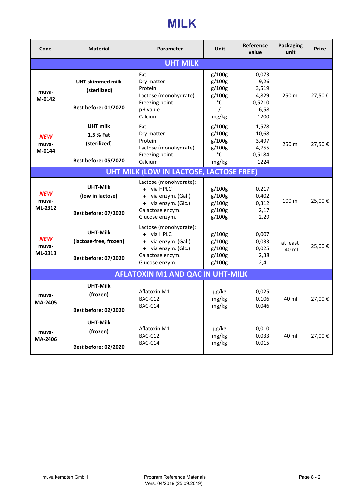### **MILK**

| Code                           | <b>Material</b>                                                             | <b>Parameter</b>                                                                                                                                 | Unit                                                | Reference<br>value                                           | <b>Packaging</b><br>unit | <b>Price</b> |  |  |
|--------------------------------|-----------------------------------------------------------------------------|--------------------------------------------------------------------------------------------------------------------------------------------------|-----------------------------------------------------|--------------------------------------------------------------|--------------------------|--------------|--|--|
| <b>UHT MILK</b>                |                                                                             |                                                                                                                                                  |                                                     |                                                              |                          |              |  |  |
| muva-<br>M-0142                | <b>UHT skimmed milk</b><br>(sterilized)<br><b>Best before: 01/2020</b>      | Fat<br>Dry matter<br>Protein<br>Lactose (monohydrate)<br>Freezing point<br>pH value<br>Calcium                                                   | g/100g<br>g/100g<br>g/100g<br>g/100g<br>°C<br>mg/kg | 0,073<br>9,26<br>3,519<br>4,829<br>$-0,5210$<br>6,58<br>1200 | 250 ml                   | 27,50€       |  |  |
| <b>NEW</b><br>muva-<br>M-0144  | <b>UHT milk</b><br>1,5 % Fat<br>(sterilized)<br><b>Best before: 05/2020</b> | Fat<br>Dry matter<br>Protein<br>Lactose (monohydrate)<br>Freezing point<br>Calcium                                                               | g/100g<br>g/100g<br>g/100g<br>g/100g<br>°C<br>mg/kg | 1,578<br>10,68<br>3,497<br>4,755<br>$-0,5184$<br>1224        | 250 ml                   | 27,50€       |  |  |
|                                |                                                                             | UHT MILK (LOW IN LACTOSE, LACTOSE FREE)                                                                                                          |                                                     |                                                              |                          |              |  |  |
| <b>NEW</b><br>muva-<br>ML-2312 | <b>UHT-Milk</b><br>(low in lactose)<br><b>Best before: 07/2020</b>          | Lactose (monohydrate):<br>$\bullet$ via HPLC<br>via enzym. (Gal.)<br>$\bullet$ via enzym. (Glc.)<br>Galactose enzym.<br>Glucose enzym.           | g/100g<br>g/100g<br>g/100g<br>g/100g<br>g/100g      | 0,217<br>0,402<br>0,312<br>2,17<br>2,29                      | 100 ml                   | 25,00€       |  |  |
| <b>NEW</b><br>muva-<br>ML-2313 | <b>UHT-Milk</b><br>(lactose-free, frozen)<br><b>Best before: 07/2020</b>    | Lactose (monohydrate):<br>$\bullet$ via HPLC<br>$\bullet$ via enzym. (Gal.)<br>$\bullet$ via enzym. (Glc.)<br>Galactose enzym.<br>Glucose enzym. | g/100g<br>g/100g<br>g/100g<br>g/100g<br>g/100g      | 0,007<br>0,033<br>0,025<br>2,38<br>2,41                      | at least<br>40 ml        | 25,00€       |  |  |
|                                |                                                                             | <b>AFLATOXIN M1 AND QAC IN UHT-MILK</b>                                                                                                          |                                                     |                                                              |                          |              |  |  |
| muva-<br>MA-2405               | <b>UHT-Milk</b><br>(frozen)<br><b>Best before: 02/2020</b>                  | Aflatoxin M1<br>BAC-C12<br>BAC-C14                                                                                                               | $\mu$ g/kg<br>mg/kg<br>mg/kg                        | 0,025<br>0,106<br>0,046                                      | 40 ml                    | 27,00€       |  |  |
| muva-<br>MA-2406               | <b>UHT-Milk</b><br>(frozen)<br><b>Best before: 02/2020</b>                  | Aflatoxin M1<br>BAC-C12<br>BAC-C14                                                                                                               | $\mu$ g/kg<br>mg/kg<br>mg/kg                        | 0,010<br>0,033<br>0,015                                      | 40 ml                    | 27,00€       |  |  |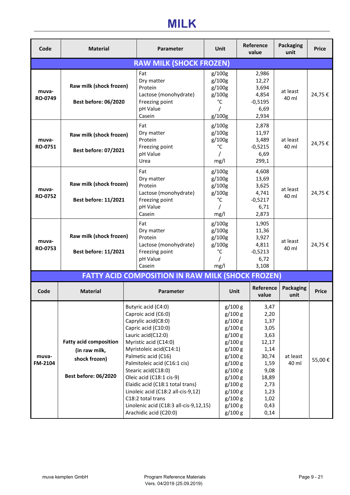## **MILK**

| Code                    | <b>Material</b>                                                                                |  | <b>Parameter</b>                                                                                                                                                                                                                                                                                                                                                                                                                                |  | <b>Unit</b>                                                                                                                                                                  |  | Reference<br>value                                                                                                              | <b>Packaging</b><br>unit | <b>Price</b> |
|-------------------------|------------------------------------------------------------------------------------------------|--|-------------------------------------------------------------------------------------------------------------------------------------------------------------------------------------------------------------------------------------------------------------------------------------------------------------------------------------------------------------------------------------------------------------------------------------------------|--|------------------------------------------------------------------------------------------------------------------------------------------------------------------------------|--|---------------------------------------------------------------------------------------------------------------------------------|--------------------------|--------------|
|                         |                                                                                                |  | <b>RAW MILK (SHOCK FROZEN)</b>                                                                                                                                                                                                                                                                                                                                                                                                                  |  |                                                                                                                                                                              |  |                                                                                                                                 |                          |              |
| muva-<br>RO-0749        | Raw milk (shock frozen)<br><b>Best before: 06/2020</b>                                         |  | Fat<br>Dry matter<br>Protein<br>Lactose (monohydrate)<br>Freezing point<br>pH Value<br>Casein                                                                                                                                                                                                                                                                                                                                                   |  | g/100g<br>g/100g<br>g/100g<br>g/100g<br>°C<br>g/100g                                                                                                                         |  | 2,986<br>12,27<br>3,694<br>4,854<br>$-0,5195$<br>6,69<br>2,934                                                                  | at least<br>40 ml        | 24,75€       |
| muva-<br><b>RO-0751</b> | Raw milk (shock frozen)<br><b>Best before: 07/2021</b>                                         |  | Fat<br>Dry matter<br>Protein<br>Freezing point<br>pH Value<br>Urea                                                                                                                                                                                                                                                                                                                                                                              |  | g/100g<br>g/100g<br>g/100g<br>°C<br>mg/l                                                                                                                                     |  | 2,878<br>11,97<br>3,489<br>$-0,5215$<br>6,69<br>299,1                                                                           | at least<br>40 ml        | 24,75€       |
| muva-<br><b>RO-0752</b> | Raw milk (shock frozen)<br><b>Best before: 11/2021</b>                                         |  | Fat<br>Dry matter<br>Protein<br>Lactose (monohydrate)<br>Freezing point<br>pH Value<br>Casein                                                                                                                                                                                                                                                                                                                                                   |  | g/100g<br>g/100g<br>g/100g<br>g/100g<br>$^{\circ}$ C<br>mg/l                                                                                                                 |  | 4,608<br>13,69<br>3,625<br>4,741<br>$-0,5217$<br>6,71<br>2,873                                                                  | at least<br>40 ml        | 24,75€       |
| muva-<br><b>RO-0753</b> | Raw milk (shock frozen)<br><b>Best before: 11/2021</b>                                         |  | Fat<br>Dry matter<br>Protein<br>Lactose (monohydrate)<br>Freezing point<br>pH Value<br>Casein                                                                                                                                                                                                                                                                                                                                                   |  | g/100g<br>g/100g<br>g/100g<br>g/100g<br>°C<br>mg/l                                                                                                                           |  | 1,905<br>11,36<br>3,927<br>4,811<br>$-0,5213$<br>6,72<br>3,108                                                                  | at least<br>40 ml        | 24,75€       |
|                         |                                                                                                |  | <b>FATTY ACID COMPOSITION IN RAW MILK (SHOCK FROZEN)</b>                                                                                                                                                                                                                                                                                                                                                                                        |  |                                                                                                                                                                              |  |                                                                                                                                 |                          |              |
| Code                    | <b>Material</b>                                                                                |  | Parameter                                                                                                                                                                                                                                                                                                                                                                                                                                       |  | Unit                                                                                                                                                                         |  | Reference<br>value                                                                                                              | <b>Packaging</b><br>unit | Price        |
| muva-<br>FM-2104        | <b>Fatty acid composition</b><br>(in raw milk,<br>shock frozen)<br><b>Best before: 06/2020</b> |  | Butyric acid (C4:0)<br>Caproic acid (C6:0)<br>Caprylic acid(C8:0)<br>Capric acid (C10:0)<br>Lauric acid(C12:0)<br>Myristic acid (C14:0)<br>Myristoleic acid(C14:1)<br>Palmetic acid (C16)<br>Palmitoleic acid (C16:1 cis)<br>Stearic acid(C18:0)<br>Oleic acid (C18:1 cis-9)<br>Elaidic acid (C18:1 total trans)<br>Linoleic acid (C18:2 all-cis-9,12)<br>C18:2 total trans<br>Linolenic acid (C18:3 all-cis-9,12,15)<br>Arachidic acid (C20:0) |  | g/100 g<br>g/100 g<br>g/100 g<br>g/100 g<br>g/100 g<br>g/100 g<br>g/100 g<br>g/100 g<br>g/100 g<br>g/100 g<br>g/100 g<br>g/100 g<br>g/100 g<br>g/100 g<br>g/100 g<br>g/100 g |  | 3,47<br>2,20<br>1,37<br>3,05<br>3,63<br>12,17<br>1,14<br>30,74<br>1,59<br>9,08<br>18,89<br>2,73<br>1,23<br>1,02<br>0,43<br>0,14 | at least<br>40 ml        | 55,00€       |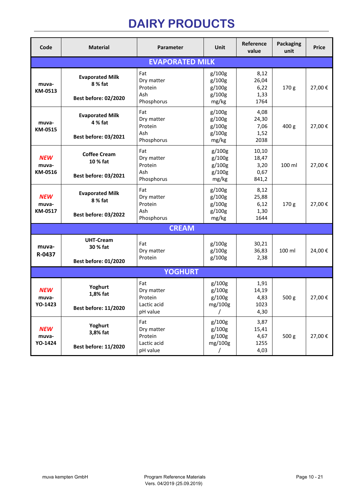# **DAIRY PRODUCTS**

| Code                           | <b>Material</b>                                                  | <b>Parameter</b>                                        | <b>Unit</b>                                   | Reference<br>value                      | <b>Packaging</b><br>unit | <b>Price</b> |  |  |
|--------------------------------|------------------------------------------------------------------|---------------------------------------------------------|-----------------------------------------------|-----------------------------------------|--------------------------|--------------|--|--|
| <b>EVAPORATED MILK</b>         |                                                                  |                                                         |                                               |                                         |                          |              |  |  |
| muva-<br>KM-0513               | <b>Evaporated Milk</b><br>8 % fat<br><b>Best before: 02/2020</b> | Fat<br>Dry matter<br>Protein<br>Ash<br>Phosphorus       | g/100g<br>g/100g<br>g/100g<br>g/100g<br>mg/kg | 8,12<br>26,04<br>6,22<br>1,33<br>1764   | 170 g                    | 27,00€       |  |  |
| muva-<br>KM-0515               | <b>Evaporated Milk</b><br>4 % fat<br><b>Best before: 03/2021</b> | Fat<br>Dry matter<br>Protein<br>Ash<br>Phosphorus       | g/100g<br>g/100g<br>g/100g<br>g/100g<br>mg/kg | 4,08<br>24,30<br>7,06<br>1,52<br>2038   | 400 g                    | 27,00€       |  |  |
| <b>NEW</b><br>muva-<br>KM-0516 | <b>Coffee Cream</b><br>10 % fat<br><b>Best before: 03/2021</b>   | Fat<br>Dry matter<br>Protein<br>Ash<br>Phosphorus       | g/100g<br>g/100g<br>g/100g<br>g/100g<br>mg/kg | 10,10<br>18,47<br>3,20<br>0,67<br>841,2 | 100 ml                   | 27,00€       |  |  |
| <b>NEW</b><br>muva-<br>KM-0517 | <b>Evaporated Milk</b><br>8 % fat<br><b>Best before: 03/2022</b> | Fat<br>Dry matter<br>Protein<br>Ash<br>Phosphorus       | g/100g<br>g/100g<br>g/100g<br>g/100g<br>mg/kg | 8,12<br>25,88<br>6,12<br>1,30<br>1644   | 170g                     | 27,00€       |  |  |
|                                |                                                                  | <b>CREAM</b>                                            |                                               |                                         |                          |              |  |  |
| muva-<br>R-0437                | <b>UHT-Cream</b><br>30 % fat<br><b>Best before: 01/2020</b>      | Fat<br>Dry matter<br>Protein                            | g/100g<br>g/100g<br>g/100g                    | 30,21<br>36,83<br>2,38                  | 100 ml                   | 24,00€       |  |  |
|                                |                                                                  | <b>YOGHURT</b>                                          |                                               |                                         |                          |              |  |  |
| <b>NEW</b><br>muva-<br>YO-1423 | Yoghurt<br>1,8% fat<br><b>Best before: 11/2020</b>               | Fat<br>Dry matter<br>Protein<br>Lactic acid<br>pH value | g/100g<br>g/100g<br>g/100g<br>mg/100g         | 1,91<br>14,19<br>4,83<br>1023<br>4,30   | 500 <sub>g</sub>         | 27,00€       |  |  |
| <b>NEW</b><br>muva-<br>YO-1424 | Yoghurt<br>3,8% fat<br><b>Best before: 11/2020</b>               | Fat<br>Dry matter<br>Protein<br>Lactic acid<br>pH value | g/100g<br>g/100g<br>g/100g<br>mg/100g<br>Τ    | 3,87<br>15,41<br>4,67<br>1255<br>4,03   | 500 g                    | 27,00€       |  |  |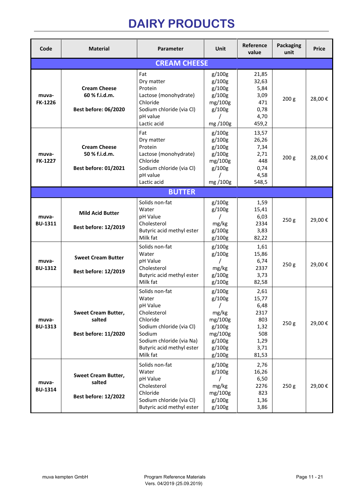# **DAIRY PRODUCTS**

| Code                    | <b>Material</b>                                                     | <b>Parameter</b>                                                                                                                                                          | <b>Unit</b>                                                                             | Reference<br>value                                                           | <b>Packaging</b><br>unit | <b>Price</b> |  |  |  |
|-------------------------|---------------------------------------------------------------------|---------------------------------------------------------------------------------------------------------------------------------------------------------------------------|-----------------------------------------------------------------------------------------|------------------------------------------------------------------------------|--------------------------|--------------|--|--|--|
|                         |                                                                     | <b>CREAM CHEESE</b>                                                                                                                                                       |                                                                                         |                                                                              |                          |              |  |  |  |
| muva-<br><b>FK-1226</b> | <b>Cream Cheese</b><br>60 % f.i.d.m.<br><b>Best before: 06/2020</b> | Fat<br>Dry matter<br>Protein<br>Lactose (monohydrate)<br>Chloride<br>Sodium chloride (via Cl)<br>pH value<br>Lactic acid                                                  | g/100g<br>g/100g<br>g/100g<br>g/100g<br>mg/100g<br>g/100g<br>mg /100g                   | 21,85<br>32,63<br>5,84<br>3,09<br>471<br>0,78<br>4,70<br>459,2               | 200 <sub>g</sub>         | 28,00€       |  |  |  |
| muva-<br><b>FK-1227</b> | <b>Cream Cheese</b><br>50 % f.i.d.m.<br><b>Best before: 01/2021</b> | Fat<br>Dry matter<br>Protein<br>Lactose (monohydrate)<br>Chloride<br>Sodium chloride (via Cl)<br>pH value<br>Lactic acid                                                  | g/100g<br>g/100g<br>g/100g<br>g/100g<br>mg/100g<br>g/100g<br>mg /100g                   | 13,57<br>26,26<br>7,34<br>2,71<br>448<br>0,74<br>4,58<br>548,5               | 200 <sub>g</sub>         | 28,00€       |  |  |  |
| <b>BUTTER</b>           |                                                                     |                                                                                                                                                                           |                                                                                         |                                                                              |                          |              |  |  |  |
| muva-<br><b>BU-1311</b> | <b>Mild Acid Butter</b><br><b>Best before: 12/2019</b>              | Solids non-fat<br>Water<br>pH Value<br>Cholesterol<br>Butyric acid methyl ester<br>Milk fat                                                                               | g/100g<br>g/100g<br>mg/kg<br>g/100g<br>g/100g                                           | 1,59<br>15,41<br>6,03<br>2334<br>3,83<br>82,22                               | 250 <sub>g</sub>         | 29,00€       |  |  |  |
| muva-<br><b>BU-1312</b> | <b>Sweet Cream Butter</b><br><b>Best before: 12/2019</b>            | Solids non-fat<br>Water<br>pH Value<br>Cholesterol<br>Butyric acid methyl ester<br>Milk fat                                                                               | g/100g<br>g/100g<br>mg/kg<br>g/100g<br>g/100g                                           | 1,61<br>15,86<br>6,74<br>2337<br>3,73<br>82,58                               | 250 <sub>g</sub>         | 29,00€       |  |  |  |
| muva-<br><b>BU-1313</b> | <b>Sweet Cream Butter,</b><br>salted<br><b>Best before: 11/2020</b> | Solids non-fat<br>Water<br>pH Value<br>Cholesterol<br>Chloride<br>Sodium chloride (via Cl)<br>Sodium<br>Sodium chloride (via Na)<br>Butyric acid methyl ester<br>Milk fat | g/100g<br>g/100g<br>mg/kg<br>mg/100g<br>g/100g<br>mg/100g<br>g/100g<br>g/100g<br>g/100g | 2,61<br>15,77<br>6,48<br>2317<br>803<br>1,32<br>508<br>1,29<br>3,71<br>81,53 | 250 <sub>g</sub>         | 29,00€       |  |  |  |
| muva-<br><b>BU-1314</b> | <b>Sweet Cream Butter,</b><br>salted<br><b>Best before: 12/2022</b> | Solids non-fat<br>Water<br>pH Value<br>Cholesterol<br>Chloride<br>Sodium chloride (via Cl)<br>Butyric acid methyl ester                                                   | g/100g<br>g/100g<br>mg/kg<br>mg/100g<br>g/100g<br>g/100g                                | 2,76<br>16,26<br>6,50<br>2276<br>823<br>1,36<br>3,86                         | 250 <sub>g</sub>         | 29,00€       |  |  |  |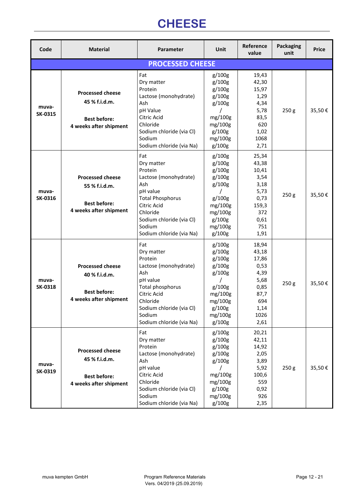## **CHEESE**

| Code                    | <b>Material</b>                                                                           | Parameter                                                                                                                                                                                        | <b>Unit</b>                                                                                                   | Reference<br>value                                                                             | <b>Packaging</b><br>unit | Price  |
|-------------------------|-------------------------------------------------------------------------------------------|--------------------------------------------------------------------------------------------------------------------------------------------------------------------------------------------------|---------------------------------------------------------------------------------------------------------------|------------------------------------------------------------------------------------------------|--------------------------|--------|
|                         |                                                                                           | <b>PROCESSED CHEESE</b>                                                                                                                                                                          |                                                                                                               |                                                                                                |                          |        |
| muva-<br><b>SK-0315</b> | <b>Processed cheese</b><br>45 % f.i.d.m.<br><b>Best before:</b><br>4 weeks after shipment | Fat<br>Dry matter<br>Protein<br>Lactose (monohydrate)<br>Ash<br>pH Value<br>Citric Acid<br>Chloride<br>Sodium chloride (via Cl)<br>Sodium<br>Sodium chloride (via Na)                            | g/100g<br>g/100g<br>g/100g<br>g/100g<br>g/100g<br>mg/100g<br>mg/100g<br>g/100g<br>mg/100g<br>g/100g           | 19,43<br>42,30<br>15,97<br>1,29<br>4,34<br>5,78<br>83,5<br>620<br>1,02<br>1068<br>2,71         | 250 <sub>g</sub>         | 35,50€ |
| muva-<br>SK-0316        | <b>Processed cheese</b><br>55 % f.i.d.m.<br><b>Best before:</b><br>4 weeks after shipment | Fat<br>Dry matter<br>Protein<br>Lactose (monohydrate)<br>Ash<br>pH value<br><b>Total Phosphorus</b><br>Citric Acid<br>Chloride<br>Sodium chloride (via Cl)<br>Sodium<br>Sodium chloride (via Na) | g/100g<br>g/100g<br>g/100g<br>g/100g<br>g/100g<br>g/100g<br>mg/100g<br>mg/100g<br>g/100g<br>mg/100g<br>g/100g | 25,34<br>43,38<br>10,41<br>3,54<br>3,18<br>5,73<br>0,73<br>159,3<br>372<br>0,61<br>751<br>1,91 | 250 g                    | 35,50€ |
| muva-<br><b>SK-0318</b> | <b>Processed cheese</b><br>40 % f.i.d.m.<br><b>Best before:</b><br>4 weeks after shipment | Fat<br>Dry matter<br>Protein<br>Lactose (monohydrate)<br>Ash<br>pH value<br>Total phosphorus<br>Citric Acid<br>Chloride<br>Sodium chloride (via Cl)<br>Sodium<br>Sodium chloride (via Na)        | g/100g<br>g/100g<br>g/100g<br>g/100g<br>g/100g<br>g/100g<br>mg/100g<br>mg/100g<br>g/100g<br>mg/100g<br>g/100g | 18,94<br>43,18<br>17,86<br>0,53<br>4,39<br>5,68<br>0,85<br>87,7<br>694<br>1,14<br>1026<br>2,61 | 250 <sub>g</sub>         | 35,50€ |
| muva-<br>SK-0319        | <b>Processed cheese</b><br>45 % f.i.d.m.<br><b>Best before:</b><br>4 weeks after shipment | Fat<br>Dry matter<br>Protein<br>Lactose (monohydrate)<br>Ash<br>pH value<br>Citric Acid<br>Chloride<br>Sodium chloride (via Cl)<br>Sodium<br>Sodium chloride (via Na)                            | g/100g<br>g/100g<br>g/100g<br>g/100g<br>g/100g<br>mg/100g<br>mg/100g<br>g/100g<br>mg/100g<br>g/100g           | 20,21<br>42,11<br>14,92<br>2,05<br>3,89<br>5,92<br>100,6<br>559<br>0,92<br>926<br>2,35         | 250 g                    | 35,50€ |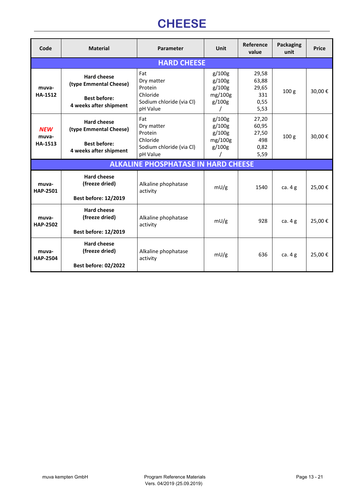## **CHEESE**

| Code                                  | <b>Material</b>                                                                               | Parameter                                                                        | <b>Unit</b>                                     | Reference<br>value                             | Packaging<br>unit | <b>Price</b> |
|---------------------------------------|-----------------------------------------------------------------------------------------------|----------------------------------------------------------------------------------|-------------------------------------------------|------------------------------------------------|-------------------|--------------|
|                                       |                                                                                               | <b>HARD CHEESE</b>                                                               |                                                 |                                                |                   |              |
| muva-<br><b>HA-1512</b>               | <b>Hard cheese</b><br>(type Emmental Cheese)<br><b>Best before:</b><br>4 weeks after shipment | Fat<br>Dry matter<br>Protein<br>Chloride<br>Sodium chloride (via Cl)<br>pH Value | g/100g<br>g/100g<br>g/100g<br>mg/100g<br>g/100g | 29,58<br>63,88<br>29,65<br>331<br>0,55<br>5,53 | 100 <sub>g</sub>  | 30,00€       |
| <b>NEW</b><br>muva-<br><b>HA-1513</b> | <b>Hard cheese</b><br>(type Emmental Cheese)<br><b>Best before:</b><br>4 weeks after shipment | Fat<br>Dry matter<br>Protein<br>Chloride<br>Sodium chloride (via Cl)<br>pH Value | g/100g<br>g/100g<br>g/100g<br>mg/100g<br>g/100g | 27,20<br>60,95<br>27,50<br>498<br>0,82<br>5,59 | 100 <sub>g</sub>  | 30,00€       |
|                                       |                                                                                               | <b>ALKALINE PHOSPHATASE IN HARD CHEESE</b>                                       |                                                 |                                                |                   |              |
| muva-<br><b>HAP-2501</b>              | <b>Hard cheese</b><br>(freeze dried)<br><b>Best before: 12/2019</b>                           | Alkaline phophatase<br>activity                                                  | mU/g                                            | 1540                                           | ca. 4 g           | 25,00€       |
| muya-<br><b>HAP-2502</b>              | Hard cheese<br>(freeze dried)<br><b>Best before: 12/2019</b>                                  | Alkaline phophatase<br>activity                                                  | mU/g                                            | 928                                            | ca. $4g$          | 25,00€       |
| muva-<br><b>HAP-2504</b>              | <b>Hard cheese</b><br>(freeze dried)<br><b>Best before: 02/2022</b>                           | Alkaline phophatase<br>activity                                                  | mU/g                                            | 636                                            | ca. $4g$          | 25,00€       |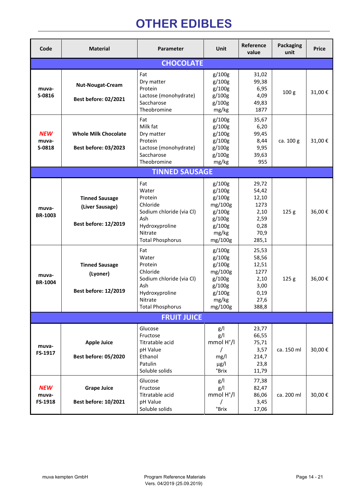# **OTHER EDIBLES**

| Code                                               | <b>Material</b>                                                                                              | Parameter                                                                                                                                                                                         | Unit                                                                                                                                       | Reference<br>value                                                                                                  | <b>Packaging</b><br>unit  | <b>Price</b>     |  |  |  |
|----------------------------------------------------|--------------------------------------------------------------------------------------------------------------|---------------------------------------------------------------------------------------------------------------------------------------------------------------------------------------------------|--------------------------------------------------------------------------------------------------------------------------------------------|---------------------------------------------------------------------------------------------------------------------|---------------------------|------------------|--|--|--|
|                                                    |                                                                                                              | <b>CHOCOLATE</b>                                                                                                                                                                                  |                                                                                                                                            |                                                                                                                     |                           |                  |  |  |  |
| muva-<br>S-0816                                    | <b>Nut-Nougat-Cream</b><br><b>Best before: 02/2021</b>                                                       | Fat<br>Dry matter<br>Protein<br>Lactose (monohydrate)<br>Saccharose<br>Theobromine                                                                                                                | g/100g<br>g/100g<br>g/100g<br>g/100g<br>g/100g<br>mg/kg                                                                                    | 31,02<br>99,38<br>6,95<br>4,09<br>49,83<br>1877                                                                     | 100 <sub>g</sub>          | 31,00€           |  |  |  |
| <b>NEW</b><br>muva-<br>S-0818                      | <b>Whole Milk Chocolate</b><br><b>Best before: 03/2023</b>                                                   | Fat<br>Milk fat<br>Dry matter<br>Protein<br>Lactose (monohydrate)<br>Saccharose<br>Theobromine                                                                                                    | g/100g<br>g/100g<br>g/100g<br>g/100g<br>g/100g<br>g/100g<br>mg/kg                                                                          | 35,67<br>6,20<br>99,45<br>8,44<br>9,95<br>39,63<br>955                                                              | ca. 100 g                 | 31,00 €          |  |  |  |
| <b>TINNED SAUSAGE</b>                              |                                                                                                              |                                                                                                                                                                                                   |                                                                                                                                            |                                                                                                                     |                           |                  |  |  |  |
| muva-<br><b>BR-1003</b><br>muva-<br><b>BR-1004</b> | <b>Tinned Sausage</b><br>(Liver Sausage)<br><b>Best before: 12/2019</b><br><b>Tinned Sausage</b><br>(Lyoner) | Fat<br>Water<br>Protein<br>Chloride<br>Sodium chloride (via Cl)<br>Ash<br>Hydroxyproline<br>Nitrate<br><b>Total Phosphorus</b><br>Fat<br>Water<br>Protein<br>Chloride<br>Sodium chloride (via Cl) | g/100g<br>g/100g<br>g/100g<br>mg/100g<br>g/100g<br>g/100g<br>g/100g<br>mg/kg<br>mg/100g<br>g/100g<br>g/100g<br>g/100g<br>mg/100g<br>g/100g | 29,72<br>54,42<br>12,10<br>1273<br>2,10<br>2,59<br>0,28<br>70,9<br>285,1<br>25,53<br>58,56<br>12,51<br>1277<br>2,10 | 125 <sub>g</sub><br>125 g | 36,00€<br>36,00€ |  |  |  |
|                                                    | <b>Best before: 12/2019</b>                                                                                  | Ash<br>Hydroxyproline<br>Nitrate<br><b>Total Phosphorus</b>                                                                                                                                       | g/100g<br>g/100g<br>mg/kg<br>mg/100g                                                                                                       | 3,00<br>0,19<br>27,6<br>388,8                                                                                       |                           |                  |  |  |  |
|                                                    |                                                                                                              | <b>FRUIT JUICE</b>                                                                                                                                                                                |                                                                                                                                            |                                                                                                                     |                           |                  |  |  |  |
| muva-<br>FS-1917                                   | <b>Apple Juice</b><br><b>Best before: 05/2020</b>                                                            | Glucose<br>Fructose<br>Titratable acid<br>pH Value<br>Ethanol<br>Patulin<br>Soluble solids                                                                                                        | g/ <br>g/<br>mmol H <sup>+</sup> /l<br>mg/l<br>$\mu$ g/l<br>°Brix                                                                          | 23,77<br>66,55<br>75,71<br>3,57<br>214,7<br>23,8<br>11,79                                                           | ca. 150 ml                | 30,00€           |  |  |  |
| <b>NEW</b><br>muva-<br>FS-1918                     | <b>Grape Juice</b><br><b>Best before: 10/2021</b>                                                            | Glucose<br>Fructose<br>Titratable acid<br>pH Value<br>Soluble solids                                                                                                                              | g/ <br>g/ <br>mmol $H^*/I$<br><b>°Brix</b>                                                                                                 | 77,38<br>82,47<br>86,06<br>3,45<br>17,06                                                                            | ca. 200 ml                | 30,00€           |  |  |  |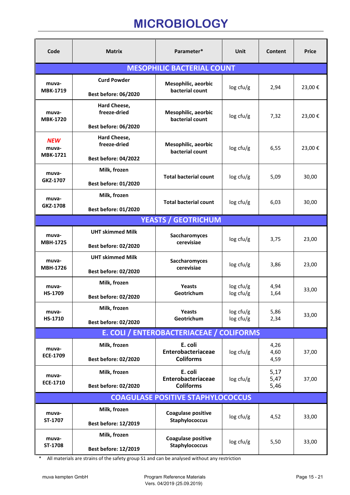# **MICROBIOLOGY**

| Code                                   | <b>Matrix</b>                                                               | Parameter*                                         | <b>Unit</b>            | Content              | <b>Price</b> |  |  |  |  |
|----------------------------------------|-----------------------------------------------------------------------------|----------------------------------------------------|------------------------|----------------------|--------------|--|--|--|--|
| <b>MESOPHILIC BACTERIAL COUNT</b>      |                                                                             |                                                    |                        |                      |              |  |  |  |  |
| muva-<br><b>MBK-1719</b>               | <b>Curd Powder</b><br><b>Best before: 06/2020</b>                           | Mesophilic, aeorbic<br>bacterial count             | log cfu/g              | 2,94                 | 23,00€       |  |  |  |  |
| muva-<br><b>MBK-1720</b>               | Hard Cheese,<br>freeze-dried<br><b>Best before: 06/2020</b>                 | Mesophilic, aeorbic<br>bacterial count             | log ctu/g              | 7,32                 | 23,00€       |  |  |  |  |
| <b>NEW</b><br>muva-<br><b>MBK-1721</b> | Hard Cheese,<br>freeze-dried<br><b>Best before: 04/2022</b>                 | Mesophilic, aeorbic<br>bacterial count             |                        | 6,55                 | 23,00€       |  |  |  |  |
| muva-<br>GKZ-1707                      | Milk, frozen<br><b>Total bacterial count</b><br><b>Best before: 01/2020</b> |                                                    | log ctu/g              | 5,09                 | 30,00        |  |  |  |  |
| muva-<br>GKZ-1708                      | Milk, frozen<br><b>Best before: 01/2020</b>                                 | <b>Total bacterial count</b>                       | log cfu/g              | 6,03                 | 30,00        |  |  |  |  |
| <b>YEASTS / GEOTRICHUM</b>             |                                                                             |                                                    |                        |                      |              |  |  |  |  |
| muva-<br><b>MBH-1725</b>               | <b>UHT skimmed Milk</b><br><b>Best before: 02/2020</b>                      | Saccharomyces<br>cerevisiae                        | log cfu/g              | 3,75                 | 23,00        |  |  |  |  |
| muva-<br><b>MBH-1726</b>               | <b>UHT skimmed Milk</b><br><b>Best before: 02/2020</b>                      | Saccharomyces<br>cerevisiae                        | log cfu/g              | 3,86                 | 23,00        |  |  |  |  |
| muva-<br>HS-1709                       | Milk, frozen<br><b>Best before: 02/2020</b>                                 | <b>Yeasts</b><br>Geotrichum                        | log cfu/g<br>log cfu/g | 4,94<br>1,64         | 33,00        |  |  |  |  |
| muva-<br>HS-1710                       | Milk, frozen<br><b>Best before: 02/2020</b>                                 | <b>Yeasts</b><br>Geotrichum                        | log cfu/g<br>log cfu/g | 5,86<br>2,34         | 33,00        |  |  |  |  |
|                                        |                                                                             | E. COLI / ENTEROBACTERIACEAE / COLIFORMS           |                        |                      |              |  |  |  |  |
| muva-<br><b>ECE-1709</b>               | Milk, frozen<br><b>Best before: 02/2020</b>                                 | E. coli<br>Enterobacteriaceae<br><b>Coliforms</b>  | log cfu/g              | 4,26<br>4,60<br>4,59 | 37,00        |  |  |  |  |
| muva-<br><b>ECE-1710</b>               | Milk, frozen<br><b>Best before: 02/2020</b>                                 | E. coli<br>Enterobacteriaceae<br><b>Coliforms</b>  | log cfu/g              | 5,17<br>5,47<br>5,46 | 37,00        |  |  |  |  |
|                                        |                                                                             | <b>COAGULASE POSITIVE STAPHYLOCOCCUS</b>           |                        |                      |              |  |  |  |  |
| muva-<br>ST-1707                       | Milk, frozen<br><b>Best before: 12/2019</b>                                 | <b>Coagulase positive</b><br><b>Staphylococcus</b> | log cfu/g              | 4,52                 | 33,00        |  |  |  |  |
| muva-<br>ST-1708                       | Milk, frozen<br><b>Best before: 12/2019</b>                                 | <b>Coagulase positive</b><br>Staphylococcus        | log cfu/g              | 5,50                 | 33,00        |  |  |  |  |

\* All materials are strains of the safety group S1 and can be analysed without any restriction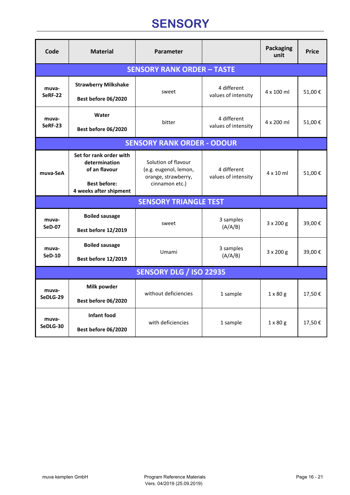# **SENSORY**

| Code                           | <b>Material</b>                                                                                            | Parameter                                                                             |                                    | <b>Packaging</b><br>unit | <b>Price</b> |
|--------------------------------|------------------------------------------------------------------------------------------------------------|---------------------------------------------------------------------------------------|------------------------------------|--------------------------|--------------|
|                                |                                                                                                            | <b>SENSORY RANK ORDER - TASTE</b>                                                     |                                    |                          |              |
| muva-<br><b>SeRF-22</b>        | <b>Strawberry Milkshake</b><br>Best before 06/2020                                                         | sweet                                                                                 | 4 different<br>values of intensity | 4 x 100 ml               | 51,00€       |
| muva-<br><b>SeRF-23</b>        | Water<br>Best before 06/2020                                                                               | bitter                                                                                | 4 different<br>values of intensity | 4 x 200 ml               | 51,00€       |
|                                |                                                                                                            | <b>SENSORY RANK ORDER - ODOUR</b>                                                     |                                    |                          |              |
| muva-SeA                       | Set for rank order with<br>determination<br>of an flavour<br><b>Best before:</b><br>4 weeks after shipment | Solution of flavour<br>(e.g. eugenol, lemon,<br>orange, strawberry,<br>cinnamon etc.) | 4 different<br>values of intensity | $4 \times 10$ ml         | 51,00€       |
| <b>SENSORY TRIANGLE TEST</b>   |                                                                                                            |                                                                                       |                                    |                          |              |
| muva-<br><b>SeD-07</b>         | <b>Boiled sausage</b><br>3 samples<br>sweet<br>(A/A/B)<br>Best before 12/2019                              |                                                                                       | 3 x 200 g                          | 39,00€                   |              |
| muva-<br><b>SeD-10</b>         | <b>Boiled sausage</b><br>Best before 12/2019                                                               | Umami                                                                                 | 3 samples<br>(A/A/B)               |                          | 39,00€       |
| <b>SENSORY DLG / ISO 22935</b> |                                                                                                            |                                                                                       |                                    |                          |              |
| muva-<br>SeDLG-29              | Milk powder<br>Best before 06/2020                                                                         | without deficiencies                                                                  | 1 sample                           | $1 \times 80$ g          | 17,50€       |
| muva-<br>SeDLG-30              | Infant food<br>Best before 06/2020                                                                         | with deficiencies                                                                     | 1 sample                           | $1 \times 80$ g          | 17,50€       |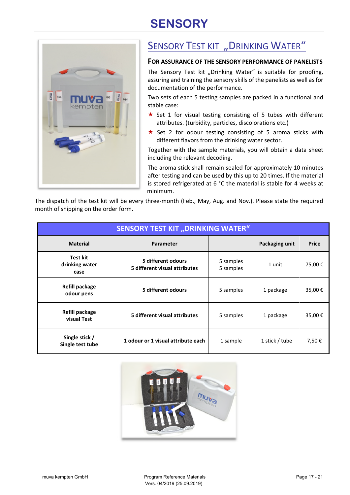# **SENSORY**



### SENSORY TEST KIT "DRINKING WATER"

### **FOR ASSURANCE OF THE SENSORY PERFORMANCE OF PANELISTS**

The Sensory Test kit "Drinking Water" is suitable for proofing, assuring and training the sensory skills of the panelists as well as for documentation of the performance.

Two sets of each 5 testing samples are packed in a functional and stable case:

- $\star$  Set 1 for visual testing consisting of 5 tubes with different attributes. (turbidity, particles, discolorations etc.)
- $\star$  Set 2 for odour testing consisting of 5 aroma sticks with different flavors from the drinking water sector.

Together with the sample materials, you will obtain a data sheet including the relevant decoding.

The aroma stick shall remain sealed for approximately 10 minutes after testing and can be used by this up to 20 times. If the material is stored refrigerated at 6 °C the material is stable for 4 weeks at minimum.

The dispatch of the test kit will be every three-month (Feb., May, Aug. and Nov.). Please state the required month of shipping on the order form.

| <b>SENSORY TEST KIT "DRINKING WATER"</b> |                                                     |                        |                |              |
|------------------------------------------|-----------------------------------------------------|------------------------|----------------|--------------|
| <b>Material</b>                          | Parameter                                           |                        | Packaging unit | <b>Price</b> |
| Test kit<br>drinking water<br>case       | 5 different odours<br>5 different visual attributes | 5 samples<br>5 samples | 1 unit         | 75,00€       |
| Refill package<br>odour pens             | 5 different odours                                  | 5 samples              | 1 package      | 35,00€       |
| Refill package<br>visual Test            | 5 different visual attributes                       | 5 samples              | 1 package      | 35,00€       |
| Single stick /<br>Single test tube       | 1 odour or 1 visual attribute each                  | 1 sample               | 1 stick / tube | 7,50€        |

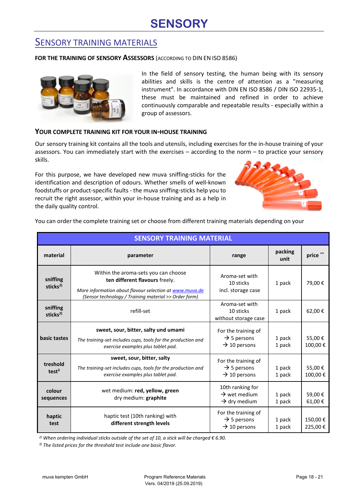# **SENSORY**

### SENSORY TRAINING MATERIALS

#### FOR THE TRAINING OF SENSORY ASSESSORS (ACCORDING TO DIN EN ISO 8586)



In the field of sensory testing, the human being with its sensory abilities and skills is the centre of attention as a "measuring instrument". In accordance with DIN EN ISO 8586 / DIN ISO 22935-1, these must be maintained and refined in order to achieve continuously comparable and repeatable results - especially within a group of assessors.

#### **YOUR COMPLETE TRAINING KIT FOR YOUR IN-HOUSE TRAINING**

Our sensory training kit contains all the tools and utensils, including exercises for the in-house training of your assessors. You can immediately start with the exercises – according to the norm – to practice your sensory skills.

For this purpose, we have developed new muva sniffing-sticks for the identification and description of odours. Whether smells of well-known foodstuffs or product-specific faults - the muva sniffing-sticks help you to recruit the right assessor, within your in-house training and as a help in the daily quality control.



You can order the complete training set or choose from different training materials depending on your

| <b>SENSORY TRAINING MATERIAL</b> |                                                                                                                                                                                            |                                                                            |                  |                    |
|----------------------------------|--------------------------------------------------------------------------------------------------------------------------------------------------------------------------------------------|----------------------------------------------------------------------------|------------------|--------------------|
| material                         | parameter<br>range                                                                                                                                                                         |                                                                            | packing<br>unit  | price **           |
| sniffing<br>sticks <sup>2)</sup> | Within the aroma-sets you can choose<br>ten different flavours freely.<br>More information about flavour selection at www.muva.de<br>(Sensor technology / Training material >> Order form) | Aroma-set with<br>10 sticks<br>incl. storage case                          | 1 pack           | 79,00€             |
| sniffing<br>sticks <sup>2)</sup> | refill-set                                                                                                                                                                                 | Aroma-set with<br>10 sticks<br>without storage case                        | 1 pack           | 62.00€             |
| basic tastes                     | sweet, sour, bitter, salty und umami<br>The training-set includes cups, tools for the production and<br>exercise examples plus tablet pad.                                                 | For the training of<br>$\rightarrow$ 5 persons<br>$\rightarrow$ 10 persons | 1 pack<br>1 pack | 55,00€<br>100,00€  |
| treshold<br>test <sup>3</sup>    | sweet, sour, bitter, salty<br>The training-set includes cups, tools for the production and<br>exercise examples plus tablet pad.                                                           | For the training of<br>$\rightarrow$ 5 persons<br>$\rightarrow$ 10 persons | 1 pack<br>1 pack | 55,00€<br>100,00€  |
| colour<br>sequences              | wet medium: red, yellow, green<br>dry medium: graphite                                                                                                                                     | 10th ranking for<br>$\rightarrow$ wet medium<br>$\rightarrow$ dry medium   | 1 pack<br>1 pack | 59,00€<br>61,00€   |
| haptic<br>test                   | haptic test (10th ranking) with<br>different strength levels                                                                                                                               | For the training of<br>$\rightarrow$ 5 persons<br>$\rightarrow$ 10 persons | 1 pack<br>1 pack | 150,00€<br>225,00€ |

*2) When ordering individual sticks outside of the set of 10, a stick will be charged € 6.90.* 

*3) The listed prices for the threshold test include one basic flavor.*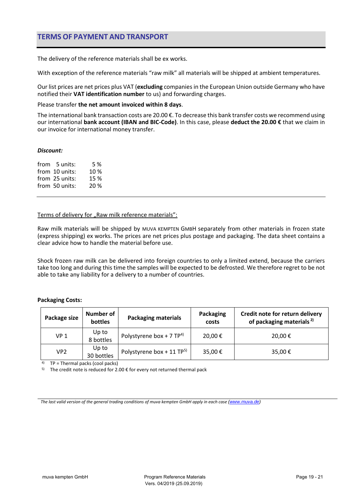### **TERMS OF PAYMENT AND TRANSPORT**

The delivery of the reference materials shall be ex works.

With exception of the reference materials "raw milk" all materials will be shipped at ambient temperatures.

Our list prices are net prices plus VAT (**excluding** companies in the European Union outside Germany who have notified their **VAT identification number** to us) and forwarding charges.

Please transfer **the net amount invoiced within 8 days**.

The international bank transaction costs are 20.00 €. To decrease this bank transfer costs we recommend using our international **bank account (IBAN and BIC-Code)**. In this case, please **deduct the 20.00 €** that we claim in our invoice for international money transfer.

#### *Discount:*

| from 5 units:  | 5 %  |
|----------------|------|
| from 10 units: | 10%  |
| from 25 units: | 15 % |
| from 50 units: | 20 % |
|                |      |

#### Terms of delivery for "Raw milk reference materials":

Raw milk materials will be shipped by MUVA KEMPTEN GMBH separately from other materials in frozen state (express shipping) ex works. The prices are net prices plus postage and packaging. The data sheet contains a clear advice how to handle the material before use.

Shock frozen raw milk can be delivered into foreign countries to only a limited extend, because the carriers take too long and during this time the samples will be expected to be defrosted. We therefore regret to be not able to take any liability for a delivery to a number of countries.

#### **Packaging Costs:**

| Package size    | Number of<br>bottles | <b>Packaging materials</b>            | Packaging<br>costs | Credit note for return delivery<br>of packaging materials <sup>2)</sup> |
|-----------------|----------------------|---------------------------------------|--------------------|-------------------------------------------------------------------------|
| VP <sub>1</sub> | Up to<br>8 bottles   | Polystyrene box + 7 TP <sup>4)</sup>  | 20,00€             | 20,00€                                                                  |
| VP <sub>2</sub> | Up to<br>30 bottles  | Polystyrene box + 11 TP <sup>5)</sup> | 35,00€             | 35,00€                                                                  |

 $\overline{4}$ ) TP = Thermal packs (cool packs)

<sup>5)</sup> The credit note is reduced for 2.00  $\epsilon$  for every not returned thermal pack

*The last valid version of the general trading conditions of muva kempten GmbH apply in each case (www.muva.de)*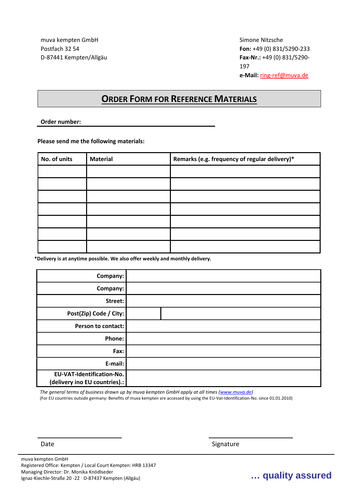Postfach 32 54 **Fon:** +49 (0) 831/5290-233 D-87441 Kempten/Allgäu **Fax-Nr.:** +49 (0) 831/5290- 197 **e-Mail:** ring-ref@muva.de

### **ORDER FORM FOR REFERENCE MATERIALS**

**Order number:** 

**Please send me the following materials:** 

| No. of units | <b>Material</b> | Remarks (e.g. frequency of regular delivery)* |
|--------------|-----------------|-----------------------------------------------|
|              |                 |                                               |
|              |                 |                                               |
|              |                 |                                               |
|              |                 |                                               |
|              |                 |                                               |
|              |                 |                                               |
|              |                 |                                               |

**\*Delivery is at anytime possible. We also offer weekly and monthly delivery.** 

| Company:                                                          |  |
|-------------------------------------------------------------------|--|
| Company:                                                          |  |
| Street:                                                           |  |
| Post(Zip) Code / City:                                            |  |
| <b>Person to contact:</b>                                         |  |
| Phone:                                                            |  |
| Fax:                                                              |  |
| E-mail:                                                           |  |
| <b>EU-VAT-Identification-No.</b><br>(delivery ino EU countries).: |  |

*The general terms of business drawn up by muva kempten GmbH apply at all times (www.muva.de)* (For EU countries outside germany: Benefits of muva kempten are accessed by using the EU-Vat-Identification-No. since 01.01.2010)

Date Signature